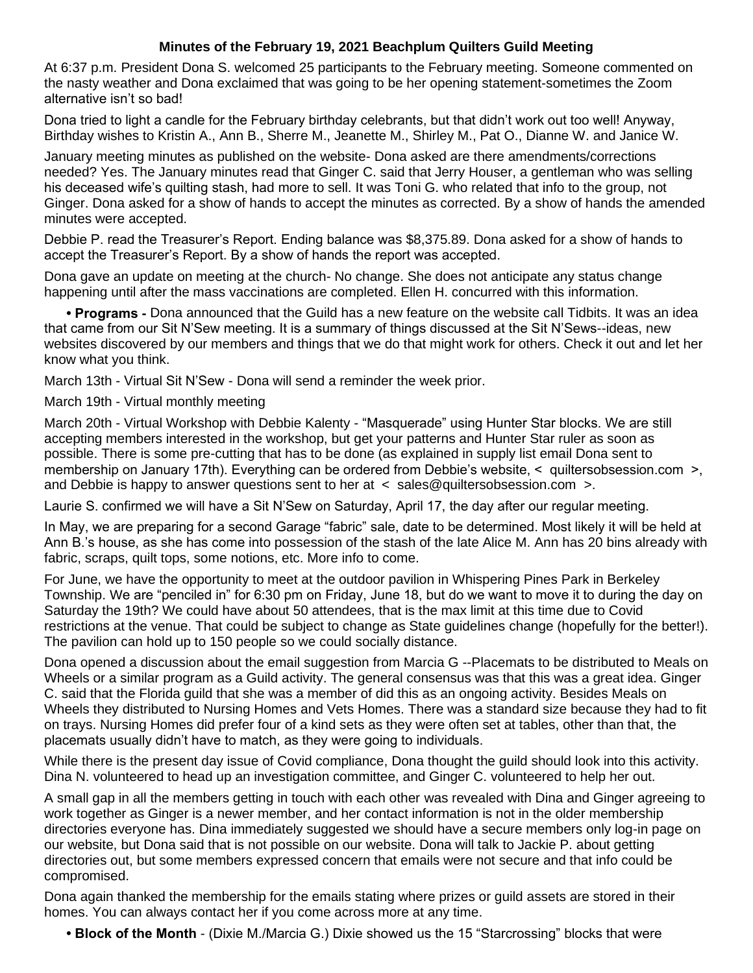## **Minutes of the February 19, 2021 Beachplum Quilters Guild Meeting**

At 6:37 p.m. President Dona S. welcomed 25 participants to the February meeting. Someone commented on the nasty weather and Dona exclaimed that was going to be her opening statement-sometimes the Zoom alternative isn't so bad!

Dona tried to light a candle for the February birthday celebrants, but that didn't work out too well! Anyway, Birthday wishes to Kristin A., Ann B., Sherre M., Jeanette M., Shirley M., Pat O., Dianne W. and Janice W.

January meeting minutes as published on the website- Dona asked are there amendments/corrections needed? Yes. The January minutes read that Ginger C. said that Jerry Houser, a gentleman who was selling his deceased wife's quilting stash, had more to sell. It was Toni G. who related that info to the group, not Ginger. Dona asked for a show of hands to accept the minutes as corrected. By a show of hands the amended minutes were accepted.

Debbie P. read the Treasurer's Report. Ending balance was \$8,375.89. Dona asked for a show of hands to accept the Treasurer's Report. By a show of hands the report was accepted.

Dona gave an update on meeting at the church- No change. She does not anticipate any status change happening until after the mass vaccinations are completed. Ellen H. concurred with this information.

**• Programs -** Dona announced that the Guild has a new feature on the website call Tidbits. It was an idea that came from our Sit N'Sew meeting. It is a summary of things discussed at the Sit N'Sews--ideas, new websites discovered by our members and things that we do that might work for others. Check it out and let her know what you think.

March 13th - Virtual Sit N'Sew - Dona will send a reminder the week prior.

March 19th - Virtual monthly meeting

March 20th - Virtual Workshop with Debbie Kalenty - "Masquerade" using Hunter Star blocks. We are still accepting members interested in the workshop, but get your patterns and Hunter Star ruler as soon as possible. There is some pre-cutting that has to be done (as explained in supply list email Dona sent to membership on January 17th). Everything can be ordered from Debbie's website, < quiltersobsession.com >, and Debbie is happy to answer questions sent to her at  $\lt$  sales@quiltersobsession.com  $\gt$ .

Laurie S. confirmed we will have a Sit N'Sew on Saturday, April 17, the day after our regular meeting.

In May, we are preparing for a second Garage "fabric" sale, date to be determined. Most likely it will be held at Ann B.'s house, as she has come into possession of the stash of the late Alice M. Ann has 20 bins already with fabric, scraps, quilt tops, some notions, etc. More info to come.

For June, we have the opportunity to meet at the outdoor pavilion in Whispering Pines Park in Berkeley Township. We are "penciled in" for 6:30 pm on Friday, June 18, but do we want to move it to during the day on Saturday the 19th? We could have about 50 attendees, that is the max limit at this time due to Covid restrictions at the venue. That could be subject to change as State guidelines change (hopefully for the better!). The pavilion can hold up to 150 people so we could socially distance.

Dona opened a discussion about the email suggestion from Marcia G --Placemats to be distributed to Meals on Wheels or a similar program as a Guild activity. The general consensus was that this was a great idea. Ginger C. said that the Florida guild that she was a member of did this as an ongoing activity. Besides Meals on Wheels they distributed to Nursing Homes and Vets Homes. There was a standard size because they had to fit on trays. Nursing Homes did prefer four of a kind sets as they were often set at tables, other than that, the placemats usually didn't have to match, as they were going to individuals.

While there is the present day issue of Covid compliance, Dona thought the guild should look into this activity. Dina N. volunteered to head up an investigation committee, and Ginger C. volunteered to help her out.

A small gap in all the members getting in touch with each other was revealed with Dina and Ginger agreeing to work together as Ginger is a newer member, and her contact information is not in the older membership directories everyone has. Dina immediately suggested we should have a secure members only log-in page on our website, but Dona said that is not possible on our website. Dona will talk to Jackie P. about getting directories out, but some members expressed concern that emails were not secure and that info could be compromised.

Dona again thanked the membership for the emails stating where prizes or guild assets are stored in their homes. You can always contact her if you come across more at any time.

**• Block of the Month** - (Dixie M./Marcia G.) Dixie showed us the 15 "Starcrossing" blocks that were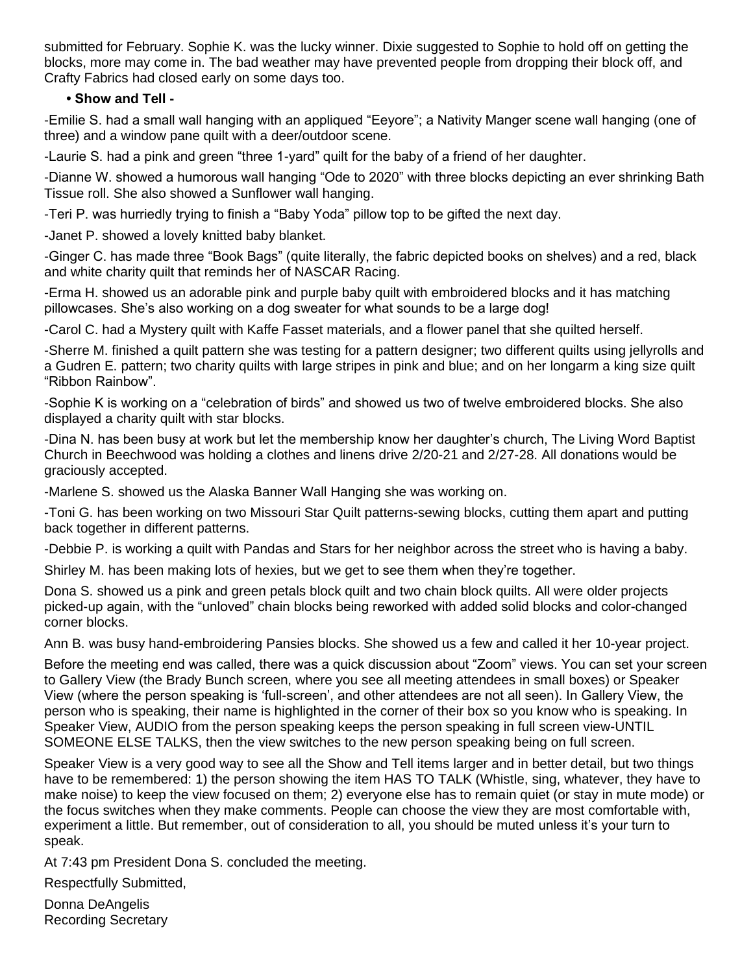submitted for February. Sophie K. was the lucky winner. Dixie suggested to Sophie to hold off on getting the blocks, more may come in. The bad weather may have prevented people from dropping their block off, and Crafty Fabrics had closed early on some days too.

## **• Show and Tell -**

-Emilie S. had a small wall hanging with an appliqued "Eeyore"; a Nativity Manger scene wall hanging (one of three) and a window pane quilt with a deer/outdoor scene.

-Laurie S. had a pink and green "three 1-yard" quilt for the baby of a friend of her daughter.

-Dianne W. showed a humorous wall hanging "Ode to 2020" with three blocks depicting an ever shrinking Bath Tissue roll. She also showed a Sunflower wall hanging.

-Teri P. was hurriedly trying to finish a "Baby Yoda" pillow top to be gifted the next day.

-Janet P. showed a lovely knitted baby blanket.

-Ginger C. has made three "Book Bags" (quite literally, the fabric depicted books on shelves) and a red, black and white charity quilt that reminds her of NASCAR Racing.

-Erma H. showed us an adorable pink and purple baby quilt with embroidered blocks and it has matching pillowcases. She's also working on a dog sweater for what sounds to be a large dog!

-Carol C. had a Mystery quilt with Kaffe Fasset materials, and a flower panel that she quilted herself.

-Sherre M. finished a quilt pattern she was testing for a pattern designer; two different quilts using jellyrolls and a Gudren E. pattern; two charity quilts with large stripes in pink and blue; and on her longarm a king size quilt "Ribbon Rainbow".

-Sophie K is working on a "celebration of birds" and showed us two of twelve embroidered blocks. She also displayed a charity quilt with star blocks.

-Dina N. has been busy at work but let the membership know her daughter's church, The Living Word Baptist Church in Beechwood was holding a clothes and linens drive 2/20-21 and 2/27-28. All donations would be graciously accepted.

-Marlene S. showed us the Alaska Banner Wall Hanging she was working on.

-Toni G. has been working on two Missouri Star Quilt patterns-sewing blocks, cutting them apart and putting back together in different patterns.

-Debbie P. is working a quilt with Pandas and Stars for her neighbor across the street who is having a baby.

Shirley M. has been making lots of hexies, but we get to see them when they're together.

Dona S. showed us a pink and green petals block quilt and two chain block quilts. All were older projects picked-up again, with the "unloved" chain blocks being reworked with added solid blocks and color-changed corner blocks.

Ann B. was busy hand-embroidering Pansies blocks. She showed us a few and called it her 10-year project.

Before the meeting end was called, there was a quick discussion about "Zoom" views. You can set your screen to Gallery View (the Brady Bunch screen, where you see all meeting attendees in small boxes) or Speaker View (where the person speaking is 'full-screen', and other attendees are not all seen). In Gallery View, the person who is speaking, their name is highlighted in the corner of their box so you know who is speaking. In Speaker View, AUDIO from the person speaking keeps the person speaking in full screen view-UNTIL SOMEONE ELSE TALKS, then the view switches to the new person speaking being on full screen.

Speaker View is a very good way to see all the Show and Tell items larger and in better detail, but two things have to be remembered: 1) the person showing the item HAS TO TALK (Whistle, sing, whatever, they have to make noise) to keep the view focused on them; 2) everyone else has to remain quiet (or stay in mute mode) or the focus switches when they make comments. People can choose the view they are most comfortable with, experiment a little. But remember, out of consideration to all, you should be muted unless it's your turn to speak.

At 7:43 pm President Dona S. concluded the meeting.

Respectfully Submitted,

Donna DeAngelis Recording Secretary